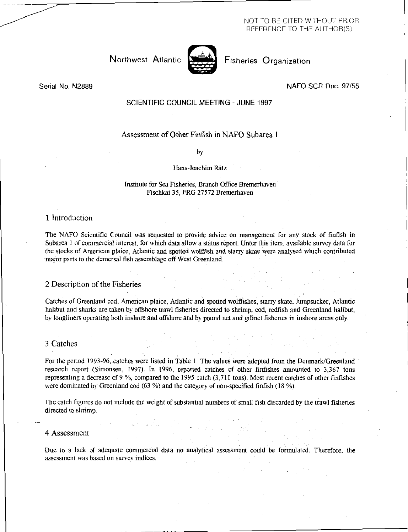NOT TO BE CITED WITHOUT PRIOR REFERENCE TO THE AUTHOR(S)

Northwest Atlantic **Notary Prisheries Organization** 



Serial No. N2889 NAFO SCR Doc. 97/55

## SCIENTIFIC COUNCIL MEETING - JUNE 1997

# Assessment of Other Finfish in NAFO Subarea 1

by

Hans-Joachim Rätz

### Institute for Sea Fisheries, Branch Office Bremerhaven Fischkai 35, FRG 27572 Bremerhaven

# 1 Introduction

The NAFO Scientific Council was requested to provide advice on management for any stock of finfish in Subarea I of commercial interest, for which data allow a status report. Unter this item, available survey data for the stocks of American plaice, Atlantic and spotted wolfish and starry skate were analysed which contributed 'major parts to the demersal fish assemblage off West Greenland.

# 2 Description of the Fisheries

Catches of Greenland cod, American plaice, Atlantic and spotted wolffishes, starry skate, lumpsucker, Atlantic halibut and sharks are taken by offshore trawl fisheries directed to shrimp, cod, redfish and Greenland halibut, by longliners operating both inshore and offshore and by pound net and gilinet fisheries in inshore areas only.

# 3 Catches

For the period 1993-96, catches were listed in Table 1. The values were adopted from the Denmark/Greenland research report (Simonsen, 1997). In 1996, reported catches of other finfishes amounted to 3,367 tons representing a decrease of 9 %, compared to the 1995 catch (3,711 tons). Most recent catches of other finfishes were dominated by Greenland cod (63 %) and the category of non-specified finfish (18 %).

The catch figures do not include the weight of substantial numbers of small fish discarded by the trawl fisheries directed to shrimp.

#### 4 Assessment

Due to a lack of adequate commercial data no analytical assessment could be formulated. Therefore, the assessment was based on survey indices.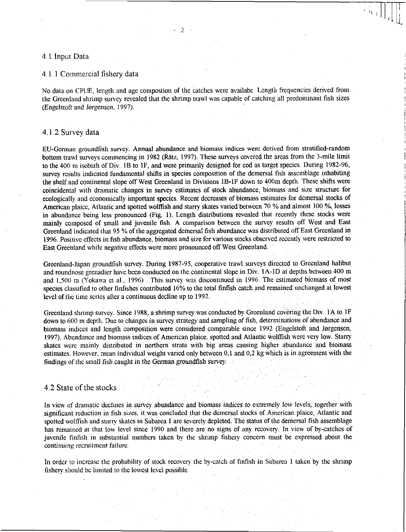#### 4 1 Input Data

#### 4.1.1 Commercial fishery data

No data on CPUE, length and age compostion of the catches were availabe. Length frequencies derived from the Greenland shrimp survey revealed that the shrimp trawl was capable of catching all predominant fish sizes (Engelstoft *and Jorgensen,* 1997).

# 4.1.2 Survey data

*EU-German* groundfish survey. Annual abundance and biomass indices were derived from stratified-random bottom trawl surveys commencing in 1982 (Ritz, 1997). These surveys covered the areas from the 3-mile limit to the 400 m isobath of Div. 1B to IF, and were primarily designed for cod as target species. During 1982-96, survey results indicated fundamental shifts in species composition of the demersal fish assemblage inhabiting the shelf and continental slope off West Greenland in Divisions 1B-1F down to 400m depth. These shifts were coincidental with dramatic changes in survey estimates of stock abundance, biomass and size structure for ecologically and economically important species. Recent decreases of biomass estimates for demersal stocks of American plaice, Atlantic and spotted wolffish and starry skates varied between 70 % and almost 100 %, losses in abundance being less pronounced (Fig. 1). Length distributions revealed that recently these stocks were mainly composed of small and juvenile fish. A comparison between the survey results off West and East Greenland indicated that 95 % of the aggregated demersal fish abundance was distributed off East Greenland in 1996. Positive effects in fish abundance, biomass and size for various stocks observed recently were restricted to East Greenland while negative effects were more pronounced off West Greenland.

Greenland-Japan groundfish survey. During 1987-95, cooperative trawl surveys directed to Greenland halibut and roundnose grenadier have been conducted on the continental slope in Div. 1A-1D at depths between 400 m and 1,500 m (Yokawa et al., 1996) . This survey was discontinued in 1996. The estimated biomass of most species classified to other finfishes contributed 16% to the total finfish catch and remained unchanged at lowest level of the time series after a continuous decline up to 1992.

Greenland shrimp survey. Since 1988, a shrimp survey was conducted by Greenland covering the Div. lA to IF down to 600 m depth. Due to changes in survey strategy and sampling *of* fish, *determinations* of abundance and biomass indices and length composition were considered comparable since 1992 (Engelstoft and Jorgensen, 1997). Abundance and biomass indices of American plaice, spotted and Atlantic wolffish were very low. Starry skates were mainly distributed in northern strata with big areas causing higher abundance and biomass estimates. However, mean individual weight varied only between 0,1 and 0,2 kg which is in agreement with the findings of the small *fish* caught in the *German* groundfish survey.

### 4.2 State of the stocks

In view of dramatic declines in survey abundance and biomass *indices* to extremely low levels, together with significant reduction in fish sizes, it was concluded that the demersal stocks of American plaice, Atlantic and spotted wolffish and starry skates in Subarea 1 are severely depleted. The status of the demersal fish assemblage has remained at that low level since 1990 and there are no signs of any recovery. In view of by-catches of juvenile finfish in substantial numbers taken by the shrimp fishery concern must be expressed about the *continuing recruitment failure.* 

In order to increase the probability of stock recovery the by-catch of nfish in Subarea 1 taken by the shrimp fishery should be limited to the lowest level possible.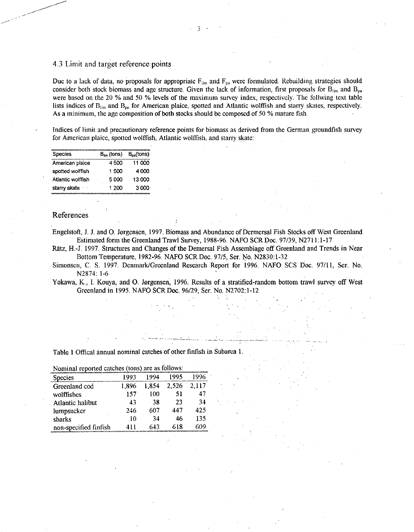# 4.3 Limit and target reference points

Due to a lack of data, no proposals for appropriate  $F_{\text{lim}}$  and  $F_{\text{pa}}$  were formulated. Rebuilding strategies should consider both stock biomass and age structure. Given the lack of information, first proposals for  $B_{lim}$  and  $B_{pa}$  were based on the 20 % and 50 % levels of the maximum survey index, respectively. The follwing text table lists indices of  $B_{lin}$  and  $B_{pa}$  for American plaice, spotted and Atlantic wolffish and starry skates, respectively. As a minimum, the age composition of both stocks should be composed of 50 % mature fish.

Indices of limit and precautionary reference points for biomass as derived from the German groundfish survey for American plaice, spotted wolffish, Atlantic wolffish, and starry skate:

| Species           | $B_{\text{lim}}$ (tons) $B_{\text{oa}}$ (tons) |        |
|-------------------|------------------------------------------------|--------|
| American plaice   | 4500                                           | 11 000 |
| spotted wolffish  | 1500                                           | 4000   |
| Atlantic wolffish | 5000                                           | 13000  |
| starry skate      | 1 200                                          | 3000   |

# References

Engelstoft, J. J. and 0. Jorgensen, 1997. Biomass and Abundance of Dermersal Fish Stocks off West Greenland Estimated form the Greenland Trawl Survey, 1988-96. NAFO SCR Doc. 97/39, N2711:1-17

Rätz, H.-J. 1997. Structures and Changes of the Demersal Fish Assemblage off Greenland and Trends in Near Bottom Temperature, 1982-96. NAFO SCR Doc. 97/5, Ser. No. N2830:1-32

Simonsen, C. S. 1997. Denmark/Greenland Research Report for 1996. NAFO SCS Doc. 97/11, Ser. No. N2874: 1-6

Yokawa, K., I. Kouya, and 0. Jorgensen, 1996. Results of a stratified-random bottom trawl survey off West Greenland in 1995. NAFO SCR Doc. 96/29, Ser. No. N2702:1-12

Table 1 Offical annual nominal catches of other finfish in Subarea 1.

| NOIHHAI TEDOLLEA CALCHES (TOILS) ALE AS TOHOWS. |       |       |       |       |  |
|-------------------------------------------------|-------|-------|-------|-------|--|
| Species                                         | 1993  | 1994  | 1995  |       |  |
| Greenland cod                                   | 1.896 | 1.854 | 2,526 | 2.117 |  |
| wolffishes                                      | 157   | 100   | 51    | 47    |  |
| Atlantic halibut                                | 43    | 38    | 23    | 34    |  |
| lumpsucker                                      | 246   | 607   | 447   | 425   |  |
| sharks                                          | 10    | 34    | 46    | 135   |  |
| non-specified finfish                           | 411   | 643   | 618   | 609   |  |

 $n \cdot 1$  reported as  $(1)$  and are as  $\hat{f}$  all are as